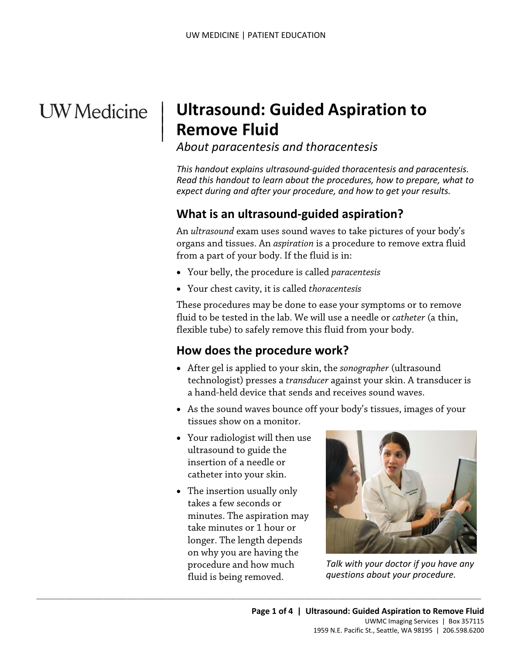# **UW** Medicine

 $\vert$  $\parallel$ 

## | **Ultrasound: Guided Aspiration to Remove Fluid**

*About paracentesis and thoracentesis* 

*This handout explains ultrasound-guided thoracentesis and paracentesis. Read this handout to learn about the procedures, how to prepare, what to expect during and after your procedure, and how to get your results.* 

## **What is an ultrasound-guided aspiration?**

 organs and tissues. An *aspiration* is a procedure to remove extra fluid from a part of your body. If the fluid is in: An *ultrasound* exam uses sound waves to take pictures of your body's

- Your belly, the procedure is called *paracentesis*
- Your chest cavity, it is called *thoracentesis*

 These procedures may be done to ease your symptoms or to remove fluid to be tested in the lab. We will use a needle or *catheter* (a thin, flexible tube) to safely remove this fluid from your body.

#### **How does the procedure work?**

- After gel is applied to your skin, the *sonographer* (ultrasound technologist) presses a *transducer* against your skin. A transducer is a hand-held device that sends and receives sound waves.
- • As the sound waves bounce off your body's tissues, images of your tissues show on a monitor.
- Your radiologist will then use ultrasound to guide the insertion of a needle or catheter into your skin.
- take minutes or 1 hour or • The insertion usually only takes a few seconds or minutes. The aspiration may longer. The length depends on why you are having the procedure and how much fluid is being removed.

 $\_$  ,  $\_$  ,  $\_$  ,  $\_$  ,  $\_$  ,  $\_$  ,  $\_$  ,  $\_$  ,  $\_$  ,  $\_$  ,  $\_$  ,  $\_$  ,  $\_$  ,  $\_$  ,  $\_$  ,  $\_$  ,  $\_$  ,  $\_$  ,  $\_$  ,  $\_$  ,  $\_$  ,  $\_$  ,  $\_$  ,  $\_$  ,  $\_$  ,  $\_$  ,  $\_$  ,  $\_$  ,  $\_$  ,  $\_$  ,  $\_$  ,  $\_$  ,  $\_$  ,  $\_$  ,  $\_$  ,  $\_$  ,  $\_$  ,



*Talk with your doctor if you have any questions about your procedure.*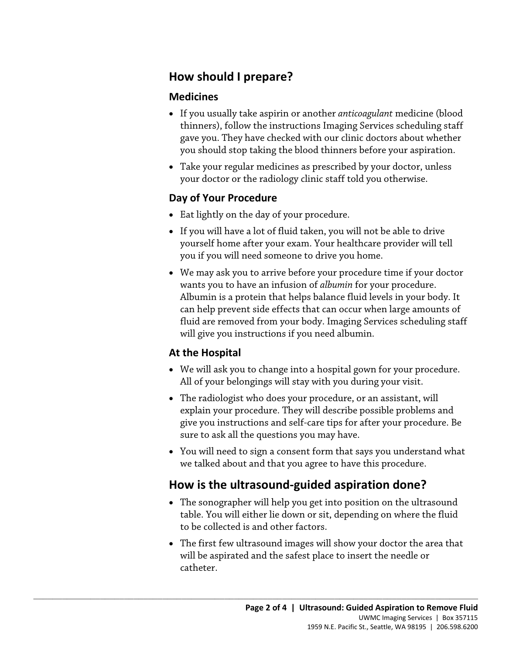#### **How should I prepare?**

#### **Medicines**

- If you usually take aspirin or another *anticoagulant* medicine (blood thinners), follow the instructions Imaging Services scheduling staff gave you. They have checked with our clinic doctors about whether you should stop taking the blood thinners before your aspiration.
- Take your regular medicines as prescribed by your doctor, unless your doctor or the radiology clinic staff told you otherwise.

#### **Day of Your Procedure**

- Eat lightly on the day of your procedure.
- you if you will need someone to drive you home. • If you will have a lot of fluid taken, you will not be able to drive yourself home after your exam. Your healthcare provider will tell
- can help prevent side effects that can occur when large amounts of fluid are removed from your body. Imaging Services scheduling staff • We may ask you to arrive before your procedure time if your doctor wants you to have an infusion of *albumin* for your procedure. Albumin is a protein that helps balance fluid levels in your body. It will give you instructions if you need albumin.

#### **At the Hospital**

- We will ask you to change into a hospital gown for your procedure. All of your belongings will stay with you during your visit.
- The radiologist who does your procedure, or an assistant, will explain your procedure. They will describe possible problems and give you instructions and self-care tips for after your procedure. Be sure to ask all the questions you may have.
- You will need to sign a consent form that says you understand what we talked about and that you agree to have this procedure.

## **How is the ultrasound-guided aspiration done?**

 $\_$  ,  $\_$  ,  $\_$  ,  $\_$  ,  $\_$  ,  $\_$  ,  $\_$  ,  $\_$  ,  $\_$  ,  $\_$  ,  $\_$  ,  $\_$  ,  $\_$  ,  $\_$  ,  $\_$  ,  $\_$  ,  $\_$  ,  $\_$  ,  $\_$  ,  $\_$  ,  $\_$  ,  $\_$  ,  $\_$  ,  $\_$  ,  $\_$  ,  $\_$  ,  $\_$  ,  $\_$  ,  $\_$  ,  $\_$  ,  $\_$  ,  $\_$  ,  $\_$  ,  $\_$  ,  $\_$  ,  $\_$  ,  $\_$  ,

- The sonographer will help you get into position on the ultrasound table. You will either lie down or sit, depending on where the fluid to be collected is and other factors.
- • The first few ultrasound images will show your doctor the area that will be aspirated and the safest place to insert the needle or catheter.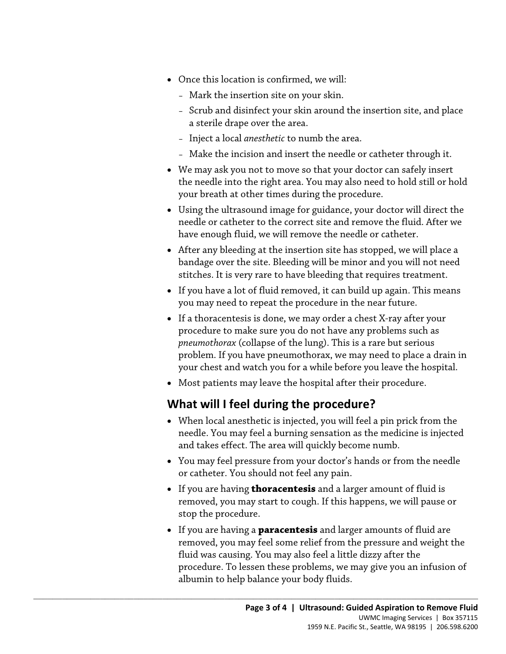- Once this location is confirmed, we will:
	- Mark the insertion site on your skin.
	- Scrub and disinfect your skin around the insertion site, and place a sterile drape over the area.
	- Inject a local *anesthetic* to numb the area.
	- Make the incision and insert the needle or catheter through it.
- • We may ask you not to move so that your doctor can safely insert the needle into the right area. You may also need to hold still or hold your breath at other times during the procedure.
- Using the ultrasound image for guidance, your doctor will direct the needle or catheter to the correct site and remove the fluid. After we have enough fluid, we will remove the needle or catheter.
- After any bleeding at the insertion site has stopped, we will place a bandage over the site. Bleeding will be minor and you will not need stitches. It is very rare to have bleeding that requires treatment.
- If you have a lot of fluid removed, it can build up again. This means you may need to repeat the procedure in the near future.
- problem. If you have pneumothorax, we may need to place a drain in your chest and watch you for a while before you leave the hospital. • If a thoracentesis is done, we may order a chest X-ray after your procedure to make sure you do not have any problems such as *pneumothorax* (collapse of the lung). This is a rare but serious
- Most patients may leave the hospital after their procedure.

#### **What will I feel during the procedure?**

 $\_$  ,  $\_$  ,  $\_$  ,  $\_$  ,  $\_$  ,  $\_$  ,  $\_$  ,  $\_$  ,  $\_$  ,  $\_$  ,  $\_$  ,  $\_$  ,  $\_$  ,  $\_$  ,  $\_$  ,  $\_$  ,  $\_$  ,  $\_$  ,  $\_$  ,  $\_$  ,  $\_$  ,  $\_$  ,  $\_$  ,  $\_$  ,  $\_$  ,  $\_$  ,  $\_$  ,  $\_$  ,  $\_$  ,  $\_$  ,  $\_$  ,  $\_$  ,  $\_$  ,  $\_$  ,  $\_$  ,  $\_$  ,  $\_$  ,

- and takes effect. The area will quickly become numb. • When local anesthetic is injected, you will feel a pin prick from the needle. You may feel a burning sensation as the medicine is injected
- You may feel pressure from your doctor's hands or from the needle or catheter. You should not feel any pain.
- If you are having **thoracentesis** and a larger amount of fluid is removed, you may start to cough. If this happens, we will pause or stop the procedure.
- If you are having a **paracentesis** and larger amounts of fluid are removed, you may feel some relief from the pressure and weight the fluid was causing. You may also feel a little dizzy after the procedure. To lessen these problems, we may give you an infusion of albumin to help balance your body fluids.